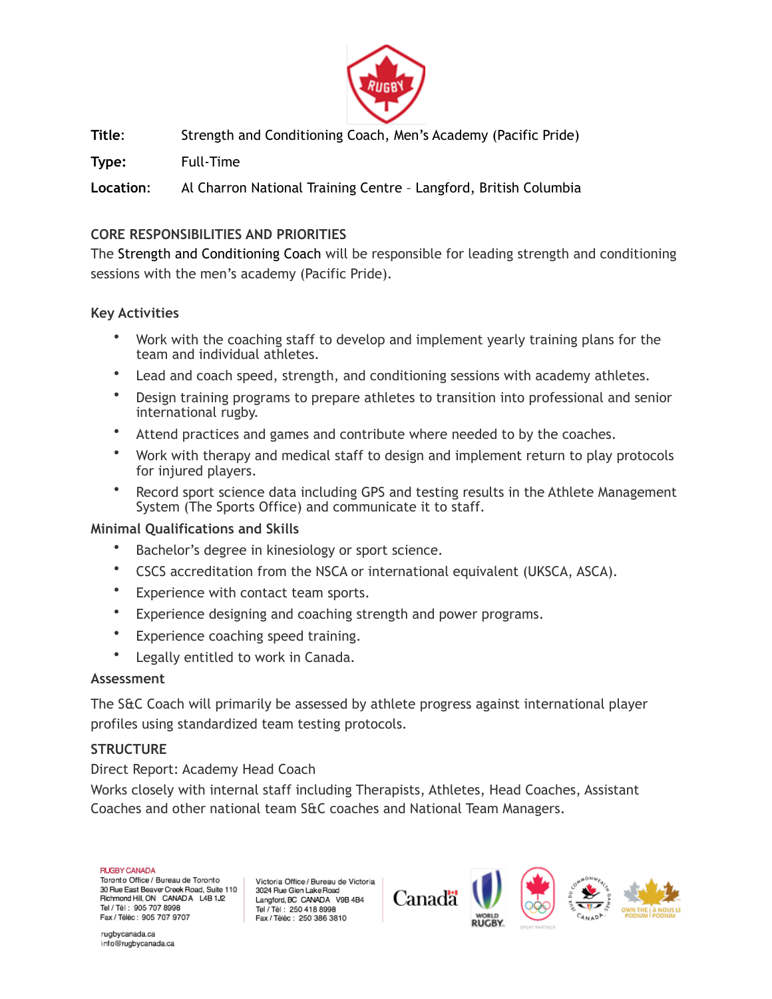

**Title**: Strength and Conditioning Coach, Men's Academy (Pacific Pride)

**Type:** Full-Time

**Location**: Al Charron National Training Centre – Langford, British Columbia

# **CORE RESPONSIBILITIES AND PRIORITIES**

The Strength and Conditioning Coach will be responsible for leading strength and conditioning sessions with the men's academy (Pacific Pride).

## **Key Activities**

- Work with the coaching staff to develop and implement yearly training plans for the team and individual athletes.
- Lead and coach speed, strength, and conditioning sessions with academy athletes.
- Design training programs to prepare athletes to transition into professional and senior international rugby.
- Attend practices and games and contribute where needed to by the coaches.
- Work with therapy and medical staff to design and implement return to play protocols for injured players.
- Record sport science data including GPS and testing results in the Athlete Management System (The Sports Office) and communicate it to staff.

### **Minimal Qualifications and Skills**

- Bachelor's degree in kinesiology or sport science.
- CSCS accreditation from the NSCA or international equivalent (UKSCA, ASCA).
- Experience with contact team sports.
- Experience designing and coaching strength and power programs.
- Experience coaching speed training.
- Legally entitled to work in Canada.

### **Assessment**

The S&C Coach will primarily be assessed by athlete progress against international player profiles using standardized team testing protocols.

### **STRUCTURE**

Direct Report: Academy Head Coach

Works closely with internal staff including Therapists, Athletes, Head Coaches, Assistant Coaches and other national team S&C coaches and National Team Managers.

#### **FIJGBY CANADA**

Toronto Office / Bureau de Toronto 30 Rue East Beaver Creek Road, Suite 110 Richmond Hill, ON CANADA L4B 1J2 Tel / Tél : 905 707 8998 Fax / Téléc: 905 707 9707

Victoria Office / Bureau de Victoria 3024 Rue Glen Lake Road Langford, BC CANADA V9B 4B4 Tel / Tél : 250 418 8998 Fax / Téléc : 250 386 3810



rugbycanada.ca info@rugbycanada.ca